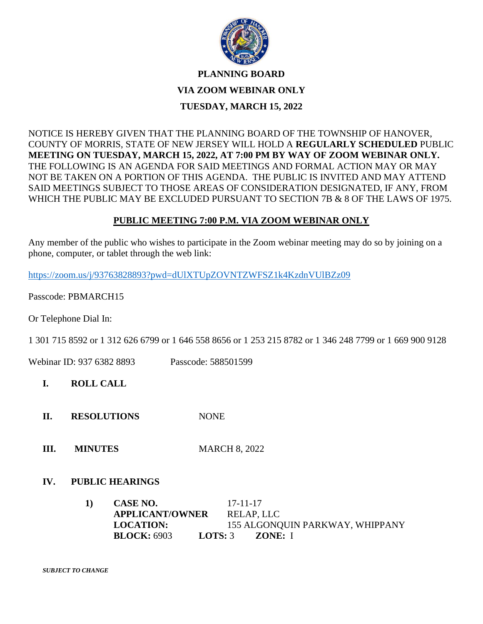

## **PLANNING BOARD**

### **VIA ZOOM WEBINAR ONLY**

## **TUESDAY, MARCH 15, 2022**

NOTICE IS HEREBY GIVEN THAT THE PLANNING BOARD OF THE TOWNSHIP OF HANOVER, COUNTY OF MORRIS, STATE OF NEW JERSEY WILL HOLD A **REGULARLY SCHEDULED** PUBLIC **MEETING ON TUESDAY, MARCH 15, 2022, AT 7:00 PM BY WAY OF ZOOM WEBINAR ONLY.**  THE FOLLOWING IS AN AGENDA FOR SAID MEETINGS AND FORMAL ACTION MAY OR MAY NOT BE TAKEN ON A PORTION OF THIS AGENDA. THE PUBLIC IS INVITED AND MAY ATTEND SAID MEETINGS SUBJECT TO THOSE AREAS OF CONSIDERATION DESIGNATED, IF ANY, FROM WHICH THE PUBLIC MAY BE EXCLUDED PURSUANT TO SECTION 7B & 8 OF THE LAWS OF 1975.

## **PUBLIC MEETING 7:00 P.M. VIA ZOOM WEBINAR ONLY**

Any member of the public who wishes to participate in the Zoom webinar meeting may do so by joining on a phone, computer, or tablet through the web link:

<https://zoom.us/j/93763828893?pwd=dUlXTUpZOVNTZWFSZ1k4KzdnVUlBZz09>

Passcode: PBMARCH15

Or Telephone Dial In:

1 301 715 8592 or 1 312 626 6799 or 1 646 558 8656 or 1 253 215 8782 or 1 346 248 7799 or 1 669 900 9128

Webinar ID: 937 6382 8893 Passcode: 588501599

**I. ROLL CALL**

- **II. RESOLUTIONS** NONE
- **III. MINUTES** MARCH 8, 2022

## **IV. PUBLIC HEARINGS**

**1) CASE NO.** 17-11-17 **APPLICANT/OWNER** RELAP, LLC **LOCATION:** 155 ALGONQUIN PARKWAY, WHIPPANY **BLOCK:** 6903 **LOTS:** 3 **ZONE:** I

*SUBJECT TO CHANGE*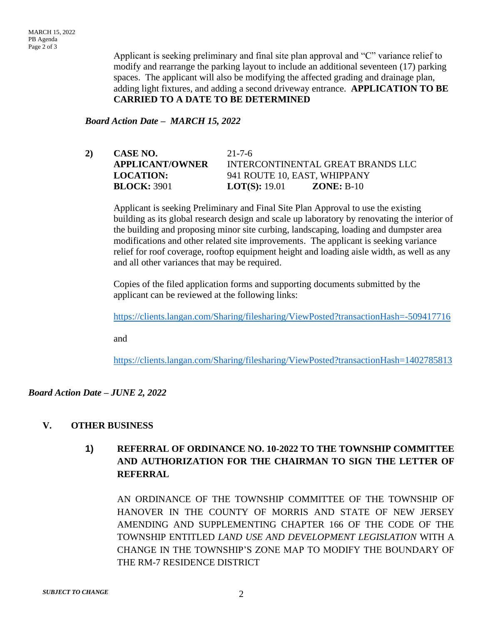Applicant is seeking preliminary and final site plan approval and "C" variance relief to modify and rearrange the parking layout to include an additional seventeen (17) parking spaces. The applicant will also be modifying the affected grading and drainage plan, adding light fixtures, and adding a second driveway entrance. **APPLICATION TO BE CARRIED TO A DATE TO BE DETERMINED**

#### *Board Action Date – MARCH 15, 2022*

**2) CASE NO.** 21-7-6 **APPLICANT/OWNER** INTERCONTINENTAL GREAT BRANDS LLC **LOCATION:** 941 ROUTE 10, EAST, WHIPPANY **BLOCK:** 3901 **LOT(S):** 19.01 **ZONE:** B-10

Applicant is seeking Preliminary and Final Site Plan Approval to use the existing building as its global research design and scale up laboratory by renovating the interior of the building and proposing minor site curbing, landscaping, loading and dumpster area modifications and other related site improvements. The applicant is seeking variance relief for roof coverage, rooftop equipment height and loading aisle width, as well as any and all other variances that may be required.

Copies of the filed application forms and supporting documents submitted by the applicant can be reviewed at the following links:

<https://clients.langan.com/Sharing/filesharing/ViewPosted?transactionHash=-509417716>

and

<https://clients.langan.com/Sharing/filesharing/ViewPosted?transactionHash=1402785813>

#### *Board Action Date – JUNE 2, 2022*

#### **V. OTHER BUSINESS**

# **1) REFERRAL OF ORDINANCE NO. 10-2022 TO THE TOWNSHIP COMMITTEE AND AUTHORIZATION FOR THE CHAIRMAN TO SIGN THE LETTER OF REFERRAL**

AN ORDINANCE OF THE TOWNSHIP COMMITTEE OF THE TOWNSHIP OF HANOVER IN THE COUNTY OF MORRIS AND STATE OF NEW JERSEY AMENDING AND SUPPLEMENTING CHAPTER 166 OF THE CODE OF THE TOWNSHIP ENTITLED *LAND USE AND DEVELOPMENT LEGISLATION* WITH A CHANGE IN THE TOWNSHIP'S ZONE MAP TO MODIFY THE BOUNDARY OF THE RM-7 RESIDENCE DISTRICT